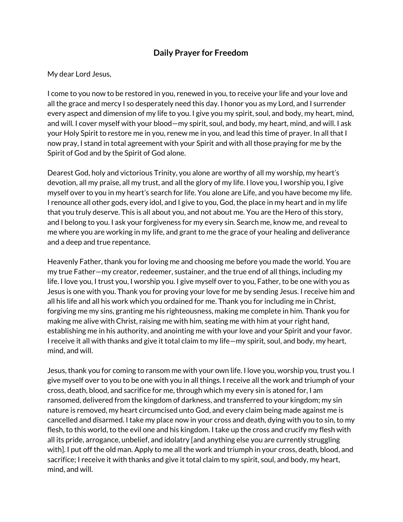## **Daily Prayer for Freedom**

## My dear Lord Jesus,

I come to you now to be restored in you, renewed in you, to receive your life and your love and all the grace and mercy I so desperately need this day. I honor you as my Lord, and I surrender every aspect and dimension of my life to you. I give you my spirit, soul, and body, my heart, mind, and will. I cover myself with your blood—my spirit, soul, and body, my heart, mind, and will. I ask your Holy Spirit to restore me in you, renew me in you, and lead this time of prayer. In all that I now pray, I stand in total agreement with your Spirit and with all those praying for me by the Spirit of God and by the Spirit of God alone.

Dearest God, holy and victorious Trinity, you alone are worthy of all my worship, my heart's devotion, all my praise, all my trust, and all the glory of my life. I love you, I worship you, I give myself over to you in my heart's search for life. You alone are Life, and you have become my life. I renounce all other gods, every idol, and I give to you, God, the place in my heart and in my life that you truly deserve. This is all about you, and not about me. You are the Hero of this story, and I belong to you. I ask your forgiveness for my every sin. Search me, know me, and reveal to me where you are working in my life, and grant to me the grace of your healing and deliverance and a deep and true repentance.

Heavenly Father, thank you for loving me and choosing me before you made the world. You are my true Father—my creator, redeemer, sustainer, and the true end of all things, including my life. I love you, I trust you, I worship you. I give myself over to you, Father, to be one with you as Jesus is one with you. Thank you for proving your love for me by sending Jesus. I receive him and all his life and all his work which you ordained for me. Thank you for including me in Christ, forgiving me my sins, granting me his righteousness, making me complete in him. Thank you for making me alive with Christ, raising me with him, seating me with him at your right hand, establishing me in his authority, and anointing me with your love and your Spirit and your favor. I receive it all with thanks and give it total claim to my life—my spirit, soul, and body, my heart, mind, and will.

Jesus, thank you for coming to ransom me with your own life. I love you, worship you, trust you. I give myself over to you to be one with you in all things. I receive all the work and triumph of your cross, death, blood, and sacrifice for me, through which my every sin is atoned for, I am ransomed, delivered from the kingdom of darkness, and transferred to your kingdom; my sin nature is removed, my heart circumcised unto God, and every claim being made against me is cancelled and disarmed. I take my place now in your cross and death, dying with you to sin, to my flesh, to this world, to the evil one and his kingdom. I take up the cross and crucify my flesh with all its pride, arrogance, unbelief, and idolatry [and anything else you are currently struggling with]. I put off the old man. Apply to me all the work and triumph in your cross, death, blood, and sacrifice; I receive it with thanks and give it total claim to my spirit, soul, and body, my heart, mind, and will.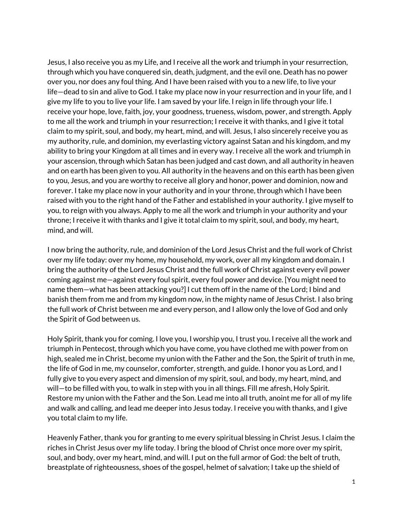Jesus, I also receive you as my Life, and I receive all the work and triumph in your resurrection, through which you have conquered sin, death, judgment, and the evil one. Death has no power over you, nor does any foul thing. And I have been raised with you to a new life, to live your life—dead to sin and alive to God. I take my place now in your resurrection and in your life, and I give my life to you to live your life. I am saved by your life. I reign in life through your life. I receive your hope, love, faith, joy, your goodness, trueness, wisdom, power, and strength. Apply to me all the work and triumph in your resurrection; I receive it with thanks, and I give it total claim to my spirit, soul, and body, my heart, mind, and will. Jesus, I also sincerely receive you as my authority, rule, and dominion, my everlasting victory against Satan and his kingdom, and my ability to bring your Kingdom at all times and in every way. I receive all the work and triumph in your ascension, through which Satan has been judged and cast down, and all authority in heaven and on earth has been given to you. All authority in the heavens and on this earth has been given to you, Jesus, and you are worthy to receive all glory and honor, power and dominion, now and forever. I take my place now in your authority and in your throne, through which I have been raised with you to the right hand of the Father and established in your authority. I give myself to you, to reign with you always. Apply to me all the work and triumph in your authority and your throne; I receive it with thanks and I give it total claim to my spirit, soul, and body, my heart, mind, and will.

I now bring the authority, rule, and dominion of the Lord Jesus Christ and the full work of Christ over my life today: over my home, my household, my work, over all my kingdom and domain. I bring the authority of the Lord Jesus Christ and the full work of Christ against every evil power coming against me—against every foul spirit, every foul power and device. [You might need to name them—what has been attacking you?] I cut them off in the name of the Lord; I bind and banish them from me and from my kingdom now, in the mighty name of Jesus Christ. I also bring the full work of Christ between me and every person, and I allow only the love of God and only the Spirit of God between us.

Holy Spirit, thank you for coming. I love you, I worship you, I trust you. I receive all the work and triumph in Pentecost, through which you have come, you have clothed me with power from on high, sealed me in Christ, become my union with the Father and the Son, the Spirit of truth in me, the life of God in me, my counselor, comforter, strength, and guide. I honor you as Lord, and I fully give to you every aspect and dimension of my spirit, soul, and body, my heart, mind, and will—to be filled with you, to walk in step with you in all things. Fill me afresh, Holy Spirit. Restore my union with the Father and the Son. Lead me into all truth, anoint me for all of my life and walk and calling, and lead me deeper into Jesus today. I receive you with thanks, and I give you total claim to my life.

Heavenly Father, thank you for granting to me every spiritual blessing in Christ Jesus. I claim the riches in Christ Jesus over my life today. I bring the blood of Christ once more over my spirit, soul, and body, over my heart, mind, and will. I put on the full armor of God: the belt of truth, breastplate of righteousness, shoes of the gospel, helmet of salvation; I take up the shield of